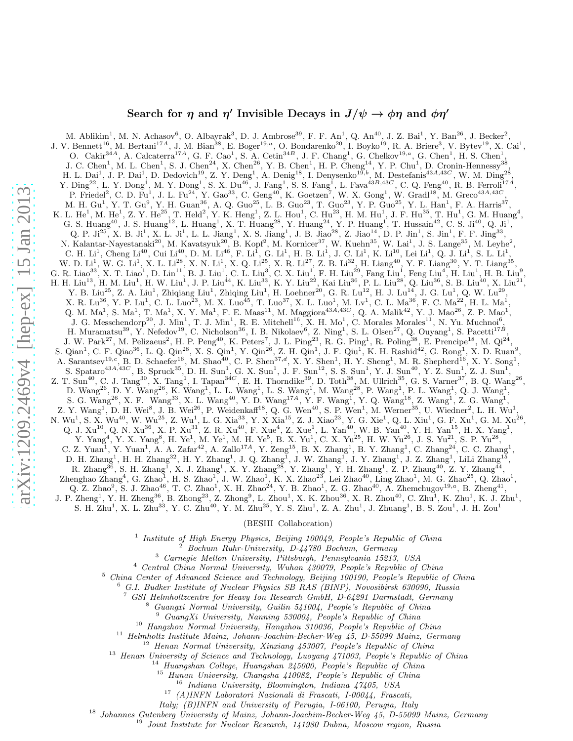# Search for  $\eta$  and  $\eta'$  Invisible Decays in  $J/\psi \to \phi \eta$  and  $\phi \eta'$

M. Ablikim<sup>1</sup>, M. N. Achasov<sup>6</sup>, O. Albayrak<sup>3</sup>, D. J. Ambrose<sup>39</sup>, F. F. An<sup>1</sup>, Q. An<sup>40</sup>, J. Z. Bai<sup>1</sup>, Y. Ban<sup>26</sup>, J. Becker<sup>2</sup>, J. V. Bennett<sup>16</sup>, M. Bertani<sup>174</sup>, J. M. Bian<sup>38</sup>, E. Boger<sup>19,a</sup>, O. Bondarenko<sup>20</sup>, I. Boyko<sup>19</sup>, R. A. Briere<sup>3</sup>, V. Bytev<sup>19</sup>, X. Cai<sup>1</sup>, O. Cakir<sup>34A</sup>, A. Calcaterra<sup>17A</sup>, G. F. Cao<sup>1</sup>, S. A. Cetin<sup>34B</sup>, J. F. Chang<sup>1</sup>, G. Chelkov<sup>19,a</sup>, G. Chen<sup>1</sup>, H. S. Chen<sup>1</sup> , J. C. Chen<sup>1</sup>, M. L. Chen<sup>1</sup>, S. J. Chen<sup>24</sup>, X. Chen<sup>26</sup>, Y. B. Chen<sup>1</sup>, H. P. Cheng<sup>14</sup>, Y. P. Chu<sup>1</sup>, D. Cronin-Hennessy<sup>38</sup>, H. L. Dai<sup>1</sup>, J. P. Dai<sup>1</sup>, D. Dedovich<sup>19</sup>, Z. Y. Deng<sup>1</sup>, A. Denig<sup>18</sup>, I. Denysenko<sup>19,b</sup>, M. Destefanis<sup>43A,43C</sup>, W. M. Ding<sup>28</sup>, Y.  $\text{Ding}^{22}$ , L. Y.  $\text{Dong}^1$ , M. Y.  $\text{Dong}^1$ , S. X.  $\text{Du}^{46}$ , J.  $\text{Fang}^1$ , S. S.  $\text{Fang}^1$ , L.  $\text{Fava}^{43B,43C}$ , C. Q.  $\text{Feng}^{40}$ , R. B.  $\text{Ferroli}^{17A}$ , P. Friedel<sup>2</sup>, C. D. Fu<sup>1</sup>, J. L. Fu<sup>24</sup>, Y. Gao<sup>33</sup>, C. Geng<sup>40</sup>, K. Goetzen<sup>7</sup>, W. X. Gong<sup>1</sup>, W. Gradl<sup>18</sup>, M. Greco<sup>43A,43C</sup>, M. H. Gu<sup>1</sup>, Y. T. Gu<sup>9</sup>, Y. H. Guan<sup>36</sup>, A. Q. Guo<sup>25</sup>, L. B. Guo<sup>23</sup>, T. Guo<sup>23</sup>, Y. P. Guo<sup>25</sup>, Y. L. Han<sup>1</sup>, F. A. Harris<sup>37</sup>, K. L. He<sup>1</sup>, M. He<sup>1</sup>, Z. Y. He<sup>25</sup>, T. Held<sup>2</sup>, Y. K. Heng<sup>1</sup>, Z. L. Hou<sup>1</sup>, C. Hu<sup>23</sup>, H. M. Hu<sup>1</sup>, J. F. Hu<sup>35</sup>, T. Hu<sup>1</sup>, G. M. Huang<sup>4</sup>, G. S. Huang<sup>40</sup>, J. S. Huang<sup>12</sup>, L. Huang<sup>1</sup>, X. T. Huang<sup>28</sup>, Y. Huang<sup>24</sup>, Y. P. Huang<sup>1</sup>, T. Hussain<sup>42</sup>, C. S. Ji<sup>10</sup>, Q. Ji<sup>1</sup>, Q. P. Ji<sup>25</sup>, X. B. Ji<sup>1</sup>, X. L. Ji<sup>1</sup>, L. L. Jiang<sup>1</sup>, X. S. Jiang<sup>1</sup>, J. B. Jiao<sup>28</sup>, Z. Jiao<sup>14</sup>, D. P. Jin<sup>1</sup>, S. Jin<sup>1</sup>, F. F. Jing<sup>33</sup>, N. Kalantar-Nayestanaki<sup>20</sup>, M. Kavatsyuk<sup>20</sup>, B. Kopf<sup>2</sup>, M. Kornicer<sup>37</sup>, W. Kuehn<sup>35</sup>, W. Lai<sup>1</sup>, J. S. Lange<sup>35</sup>, M. Leyhe<sup>2</sup>, C. H.  $Li^1$ , Cheng  $Li^{40}$ , Cui  $Li^{40}$ , D. M.  $Li^{46}$ , F.  $Li^1$ , G.  $Li^1$ , H. B.  $Li^1$ , J. C.  $Li^1$ , K.  $Li^{10}$ , Lei  $Li^1$ , Q. J.  $Li^1$ , S. L.  $Li^1$ , W. D. Li<sup>1</sup>, W. G. Li<sup>1</sup>, X. L. Li<sup>28</sup>, X. N. Li<sup>1</sup>, X. Q. Li<sup>25</sup>, X. R. Li<sup>27</sup>, Z. B. Li<sup>32</sup>, H. Liang<sup>40</sup>, Y. F. Liang<sup>30</sup>, Y. T. Liang<sup>35</sup>, G. R. Liao<sup>33</sup>, X. T. Liao<sup>1</sup>, D. Lin<sup>11</sup>, B. J. Liu<sup>1</sup>, C. L. Liu<sup>3</sup>, C. X. Liu<sup>1</sup>, F. H. Liu<sup>29</sup>, Fang Liu<sup>1</sup>, Feng Liu<sup>4</sup>, H. Liu<sup>1</sup>, H. B. Liu<sup>9</sup>, H. H. Liu $^{13}$ , H. M. Liu $^1$ , H. W. Liu $^1$ , J. P. Liu $^{44}$ , K. Liu $^{33}$ , K. Y. Liu $^{22}$ , Kai Liu $^{36}$ , P. L. Liu $^{28}$ , Q. Liu $^{36}$ , S. B. Liu $^{40}$ , X. Liu $^{21}$ , Y. B. Liu<sup>25</sup>, Z. A. Liu<sup>1</sup>, Zhiqiang Liu<sup>1</sup>, Zhiqing Liu<sup>1</sup>, H. Loehner<sup>20</sup>, G. R. Lu<sup>12</sup>, H. J. Lu<sup>14</sup>, J. G. Lu<sup>1</sup>, Q. W. Lu<sup>29</sup>,  $X.$  R. Lu<sup>36</sup>, Y. P. Lu<sup>1</sup>, C. L. Luo<sup>23</sup>, M. X. Luo<sup>45</sup>, T. Luo<sup>37</sup>, X. L. Luo<sup>1</sup>, M. Lv<sup>1</sup>, C. L. Ma<sup>36</sup>, F. C. Ma<sup>22</sup>, H. L. Ma<sup>1</sup>, Q. M. Ma<sup>1</sup>, S. Ma<sup>1</sup>, T. Ma<sup>1</sup>, X. Y. Ma<sup>1</sup>, F. E. Maas<sup>11</sup>, M. Maggiora<sup>43*A*,43*C*, Q. A. Malik<sup>42</sup>, Y. J. Mao<sup>26</sup>, Z. P. Mao<sup>1</sup>,</sup> J. G. Messchendorp<sup>20</sup>, J. Min<sup>1</sup>, T. J. Min<sup>1</sup>, R. E. Mitchell<sup>16</sup>, X. H. Mo<sup>1</sup>, C. Morales Morales<sup>11</sup>, N. Yu. Muchnoi<sup>6</sup>, H. Muramatsu<sup>39</sup>, Y. Nefedov<sup>19</sup>, C. Nicholson<sup>36</sup>, I. B. Nikolaev<sup>6</sup>, Z. Ning<sup>1</sup>, S. L. Olsen<sup>27</sup>, Q. Ouyang<sup>1</sup>, S. Pacetti<sup>17B</sup>, J. W. Park<sup>27</sup>, M. Pelizaeus<sup>2</sup>, H. P. Peng<sup>40</sup>, K. Peters<sup>7</sup>, J. L. Ping<sup>23</sup>, R. G. Ping<sup>1</sup>, R. Poling<sup>38</sup>, E. Prencipe<sup>18</sup>, M. Qi<sup>24</sup>, S. Qian<sup>1</sup>, C. F. Qiao<sup>36</sup>, L. Q. Qin<sup>28</sup>, X. S. Qin<sup>1</sup>, Y. Qin<sup>26</sup>, Z. H. Qin<sup>1</sup>, J. F. Qiu<sup>1</sup>, K. H. Rashid<sup>42</sup>, G. Rong<sup>1</sup>, X. D. Ruan<sup>9</sup>, A. Sarantsev<sup>19,c</sup>, B. D. Schaefer<sup>16</sup>, M. Shao<sup>40</sup>, C. P. Shen<sup>37,d</sup>, X. Y. Shen<sup>1</sup>, H. Y. Sheng<sup>1</sup>, M. R. Shepherd<sup>16</sup>, X. Y. Song<sup>1</sup>, S. Spataro<sup>43A,43C</sup>, B. Spruck<sup>35</sup>, D. H. Sun<sup>1</sup>, G. X. Sun<sup>1</sup>, J. F. Sun<sup>12</sup>, S. S. Sun<sup>1</sup>, Y. J. Sun<sup>40</sup>, Y. Z. Sun<sup>1</sup>, Z. J. Sun<sup>1</sup>, Z. T. Sun<sup>40</sup>, C. J. Tang<sup>30</sup>, X. Tang<sup>1</sup>, I. Tapan<sup>34*C*</sup>, E. H. Thorndike<sup>39</sup>, D. Toth<sup>38</sup>, M. Ullrich<sup>35</sup>, G. S. Varner<sup>37</sup>, B. Q. Wang<sup>26</sup>, D. Wang<sup>26</sup>, D. Y. Wang<sup>26</sup>, K. Wang<sup>1</sup>, L. L. Wang<sup>1</sup>, L. S. Wang<sup>1</sup>, M. Wang<sup>28</sup>, P. Wang<sup>1</sup>, P. L. Wang<sup>1</sup>, Q. J. Wang<sup>1</sup>, S. G. Wang<sup>26</sup>, X. F. Wang<sup>33</sup>, X. L. Wang<sup>40</sup>, Y. D. Wang<sup>174</sup>, Y. F. Wang<sup>1</sup>, Y. Q. Wang<sup>13</sup>, Z. Wang<sup>1</sup>, Z. G. Wang<sup>1</sup>, Z. Y. Wang<sup>1</sup>, D. H. Wei<sup>8</sup>, J. B. Wei<sup>26</sup>, P. Weidenkaff<sup>18</sup>, Q. G. Wen<sup>40</sup>, S. P. Wen<sup>1</sup>, M. Werner<sup>35</sup>, U. Wiedner<sup>2</sup>, L. H. Wu<sup>1</sup>, N. Wu<sup>1</sup>, S. X. Wu<sup>40</sup>, W. Wu<sup>25</sup>, Z. Wu<sup>1</sup>, L. G. Xia<sup>33</sup>, Y. X Xia<sup>15</sup>, Z. J. Xiao<sup>23</sup>, Y. G. Xie<sup>1</sup>, Q. L. Xiu<sup>1</sup>, G. F. Xu<sup>1</sup>, G. M. Xu<sup>26</sup>, Q. J.  $\text{Xu}^{10}$ , Q. N.  $\text{Xu}^{36}$ , X. P.  $\text{Xu}^{31}$ , Z. R.  $\text{Xu}^{40}$ , F.  $\text{Xue}^4$ , Z.  $\text{Xue}^1$ , L.  $\text{Yan}^{40}$ , W. B.  $\text{Yan}^{40}$ , Y. H.  $\text{Yan}^{15}$ , H. X.  $\text{Yang}^1$ , Y. Yang<sup>4</sup>, Y. X. Yang<sup>8</sup>, H. Ye<sup>1</sup>, M. Ye<sup>1</sup>, M. H. Ye<sup>5</sup>, B. X. Yu<sup>1</sup>, C. X. Yu<sup>25</sup>, H. W. Yu<sup>26</sup>, J. S. Yu<sup>21</sup>, S. P. Yu<sup>28</sup>, C. Z. Yuan<sup>1</sup>, Y. Yuan<sup>1</sup>, A. A. Zafar<sup>42</sup>, A. Zallo<sup>17A</sup>, Y. Zeng<sup>15</sup>, B. X. Zhang<sup>1</sup>, B. Y. Zhang<sup>1</sup>, C. Zhang<sup>24</sup>, C. C. Zhang<sup>1</sup>,  $D.$  H. Zhang<sup>1</sup>, H. H. Zhang<sup>32</sup>, H. Y. Zhang<sup>1</sup>, J. Q. Zhang<sup>1</sup>, J. W. Zhang<sup>1</sup>, J. Y. Zhang<sup>1</sup>, J. Z. Zhang<sup>1</sup>, LiLi Zhang<sup>15</sup>, R. Zhang<sup>36</sup>, S. H. Zhang<sup>1</sup>, X. J. Zhang<sup>1</sup>, X. Y. Zhang<sup>28</sup>, Y. Zhang<sup>1</sup>, Y. H. Zhang<sup>1</sup>, Z. P. Zhang<sup>40</sup>, Z. Y. Zhang<sup>44</sup>, Zhenghao Zhang<sup>4</sup>, G. Zhao<sup>1</sup>, H. S. Zhao<sup>1</sup>, J. W. Zhao<sup>1</sup>, K. X. Zhao<sup>23</sup>, Lei Zhao<sup>40</sup>, Ling Zhao<sup>1</sup>, M. G. Zhao<sup>25</sup>, Q. Zhao<sup>1</sup>, Q. Z. Zhao<sup>9</sup>, S. J. Zhao<sup>46</sup>, T. C. Zhao<sup>1</sup>, X. H. Zhao<sup>24</sup>, Y. B. Zhao<sup>1</sup>, Z. G. Zhao<sup>40</sup>, A. Zhemchugov<sup>19,a</sup>, B. Zheng<sup>41</sup>,  $J.$  P. Zheng<sup>1</sup>, Y. H. Zheng<sup>36</sup>, B. Zhong<sup>23</sup>, Z. Zhong<sup>9</sup>, L. Zhou<sup>1</sup>, X. K. Zhou<sup>36</sup>, X. R. Zhou<sup>40</sup>, C. Zhu<sup>1</sup>, K. Zhu<sup>1</sup>, K. J. Zhu<sup>1</sup>, S. H. Zhu<sup>1</sup>, X. L. Zhu<sup>33</sup>, Y. C. Zhu<sup>40</sup>, Y. M. Zhu<sup>25</sup>, Y. S. Zhu<sup>1</sup>, Z. A. Zhu<sup>1</sup>, J. Zhuang<sup>1</sup>, B. S. Zou<sup>1</sup>, J. H. Zou<sup>1</sup>

#### (BESIII Collaboration)

1 *Institute of High Energy Physics, Beijing 100049, People's Republic of China*

<sup>2</sup> *Bochum Ruhr-University, D-44780 Bochum, Germany*

<sup>3</sup> *Carnegie Mellon University, Pittsburgh, Pennsylvania 15213, USA*

<sup>4</sup> *Central China Normal University, Wuhan 430079, People's Republic of China*

<sup>5</sup> *China Center of Advanced Science and Technology, Beijing 100190, People's Republic of China*

<sup>6</sup> *G.I. Budker Institute of Nuclear Physics SB RAS (BINP), Novosibirsk 630090, Russia*

<sup>7</sup> *GSI Helmholtzcentre for Heavy Ion Research GmbH, D-64291 Darmstadt, Germany*

<sup>8</sup> *Guangxi Normal University, Guilin 541004, People's Republic of China*

<sup>9</sup> *GuangXi University, Nanning 530004, People's Republic of China*

<sup>10</sup> *Hangzhou Normal University, Hangzhou 310036, People's Republic of China*

<sup>11</sup> *Helmholtz Institute Mainz, Johann-Joachim-Becher-Weg 45, D-55099 Mainz, Germany*

<sup>12</sup> *Henan Normal University, Xinxiang 453007, People's Republic of China*

<sup>13</sup> *Henan University of Science and Technology, Luoyang 471003, People's Republic of China*

<sup>14</sup> *Huangshan College, Huangshan 245000, People's Republic of China*

<sup>15</sup> *Hunan University, Changsha 410082, People's Republic of China*

<sup>16</sup> *Indiana University, Bloomington, Indiana 47405, USA*

<sup>17</sup> *(A)INFN Laboratori Nazionali di Frascati, I-00044, Frascati,*

*Italy; (B)INFN and University of Perugia, I-06100, Perugia, Italy*

<sup>18</sup> *Johannes Gutenberg University of Mainz, Johann-Joachim-Becher-Weg 45, D-55099 Mainz, Germany*

<sup>19</sup> *Joint Institute for Nuclear Research, 141980 Dubna, Moscow region, Russia*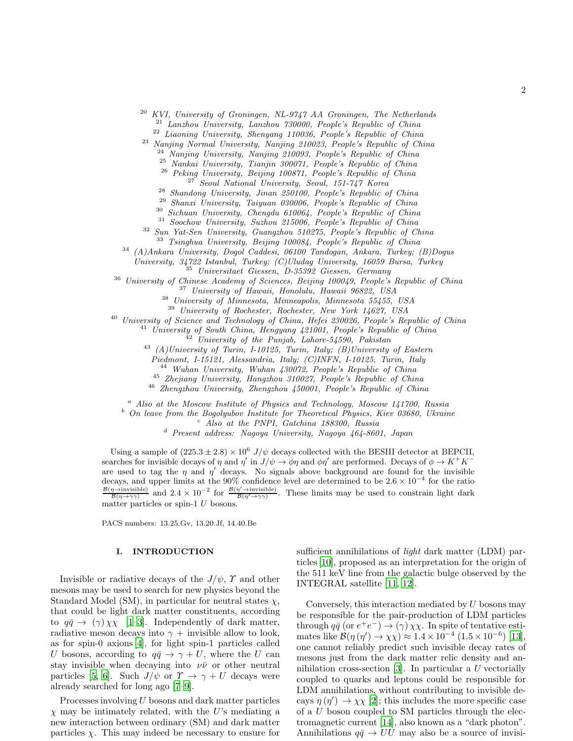<sup>20</sup> *KVI, University of Groningen, NL-9747 AA Groningen, The Netherlands*

<sup>21</sup> *Lanzhou University, Lanzhou 730000, People's Republic of China*

<sup>22</sup> *Liaoning University, Shenyang 110036, People's Republic of China*

<sup>23</sup> *Nanjing Normal University, Nanjing 210023, People's Republic of China* <sup>24</sup> *Nanjing University, Nanjing 210093, People's Republic of China*

<sup>25</sup> *Nankai University, Tianjin 300071, People's Republic of China*

<sup>26</sup> *Peking University, Beijing 100871, People's Republic of China*

<sup>27</sup> *Seoul National University, Seoul, 151-747 Korea*

<sup>28</sup> *Shandong University, Jinan 250100, People's Republic of China*

<sup>29</sup> *Shanxi University, Taiyuan 030006, People's Republic of China*

<sup>30</sup> *Sichuan University, Chengdu 610064, People's Republic of China*

<sup>31</sup> *Soochow University, Suzhou 215006, People's Republic of China* <sup>32</sup> *Sun Yat-Sen University, Guangzhou 510275, People's Republic of China*

<sup>33</sup> *Tsinghua University, Beijing 100084, People's Republic of China*

<sup>34</sup> *(A)Ankara University, Dogol Caddesi, 06100 Tandogan, Ankara, Turkey; (B)Dogus*

*University, 34722 Istanbul, Turkey; (C)Uludag University, 16059 Bursa, Turkey* <sup>35</sup> *Universitaet Giessen, D-35392 Giessen, Germany*

<sup>36</sup> *University of Chinese Academy of Sciences, Beijing 100049, People's Republic of China*

<sup>37</sup> *University of Hawaii, Honolulu, Hawaii 96822, USA*

<sup>38</sup> *University of Minnesota, Minneapolis, Minnesota 55455, USA*

<sup>39</sup> *University of Rochester, Rochester, New York 14627, USA*

<sup>40</sup> *University of Science and Technology of China, Hefei 230026, People's Republic of China*

<sup>41</sup> *University of South China, Hengyang 421001, People's Republic of China*

<sup>42</sup> *University of the Punjab, Lahore-54590, Pakistan*

<sup>43</sup> *(A)University of Turin, I-10125, Turin, Italy; (B)University of Eastern*

*Piedmont, I-15121, Alessandria, Italy; (C)INFN, I-10125, Turin, Italy*

<sup>44</sup> *Wuhan University, Wuhan 430072, People's Republic of China*

<sup>45</sup> *Zhejiang University, Hangzhou 310027, People's Republic of China*

<sup>46</sup> *Zhengzhou University, Zhengzhou 450001, People's Republic of China*

<sup>a</sup> *Also at the Moscow Institute of Physics and Technology, Moscow 141700, Russia*

<sup>b</sup> *On leave from the Bogolyubov Institute for Theoretical Physics, Kiev 03680, Ukraine*

<sup>c</sup> *Also at the PNPI, Gatchina 188300, Russia*

<sup>d</sup> *Present address: Nagoya University, Nagoya 464-8601, Japan*

Using a sample of  $(225.3 \pm 2.8) \times 10^6$  J/ $\psi$  decays collected with the BESIII detector at BEPCII, searches for invisible decays of  $\eta$  and  $\eta'$  in  $J/\psi \to \phi \eta$  and  $\phi \eta'$  are performed. Decays of  $\phi \to K^+ K^$ are used to tag the  $\eta$  and  $\eta'$  decays. No signals above background are found for the invisible decays, and upper limits at the 90% confidence level are determined to be  $2.6 \times 10^{-4}$  for the ratio  $\frac{\mathcal{B}(\eta\to\text{invisible})}{\mathcal{B}(\eta\to\gamma\gamma)}$  and  $2.4\times10^{-2}$  for  $\frac{\mathcal{B}(\eta'\to\text{invisible})}{\mathcal{B}(\eta'\to\gamma\gamma)}$ . These limits may be used to constrain light dark matter particles or spin-1  $U$  bosons.

PACS numbers: 13.25.Gv, 13.20.Jf, 14.40.Be

### I. INTRODUCTION

Invisible or radiative decays of the  $J/\psi$ ,  $\Upsilon$  and other mesons may be used to search for new physics beyond the Standard Model (SM), in particular for neutral states  $\chi$ , that could be light dark matter constituents, according to  $q\bar{q} \rightarrow (\gamma) \chi \chi$  [\[1](#page-7-0)[–3](#page-8-0)]. Independently of dark matter, radiative meson decays into  $\gamma$  + invisible allow to look, as for spin-0 axions [\[4](#page-8-1)], for light spin-1 particles called U bosons, according to  $q\bar{q} \rightarrow \gamma + U$ , where the U can stay invisible when decaying into  $\nu\bar{\nu}$  or other neutral particles [\[5,](#page-8-2) [6\]](#page-8-3). Such  $J/\psi$  or  $\Upsilon \to \gamma + U$  decays were already searched for long ago [\[7](#page-8-4)[–9](#page-8-5)].

Processes involving U bosons and dark matter particles  $\chi$  may be intimately related, with the U's mediating a new interaction between ordinary (SM) and dark matter particles  $\chi$ . This may indeed be necessary to ensure for sufficient annihilations of *light* dark matter (LDM) particles [\[10\]](#page-8-6), proposed as an interpretation for the origin of the 511 keV line from the galactic bulge observed by the INTEGRAL satellite [\[11](#page-8-7), [12](#page-8-8)].

Conversely, this interaction mediated by  $U$  bosons may be responsible for the pair-production of LDM particles through  $q\bar{q}$  (or  $e^+e^-$ )  $\rightarrow$  ( $\gamma$ )  $\chi\chi$ . In spite of tentative estimates like  $\mathcal{B}(\eta(\eta') \to \chi \chi) \approx 1.4 \times 10^{-4} (1.5 \times 10^{-6})$  [\[13\]](#page-8-9), one cannot reliably predict such invisible decay rates of mesons just from the dark matter relic density and annihilation cross-section [\[3](#page-8-0)]. In particular a U vectorially coupled to quarks and leptons could be responsible for LDM annihilations, without contributing to invisible decays  $\eta(\eta') \to \chi \chi$  [\[2\]](#page-7-1); this includes the more specific case of a  $U$  boson coupled to SM particles through the electromagnetic current [\[14\]](#page-8-10), also known as a "dark photon". Annihilations  $q\bar{q} \rightarrow UU$  may also be a source of invisi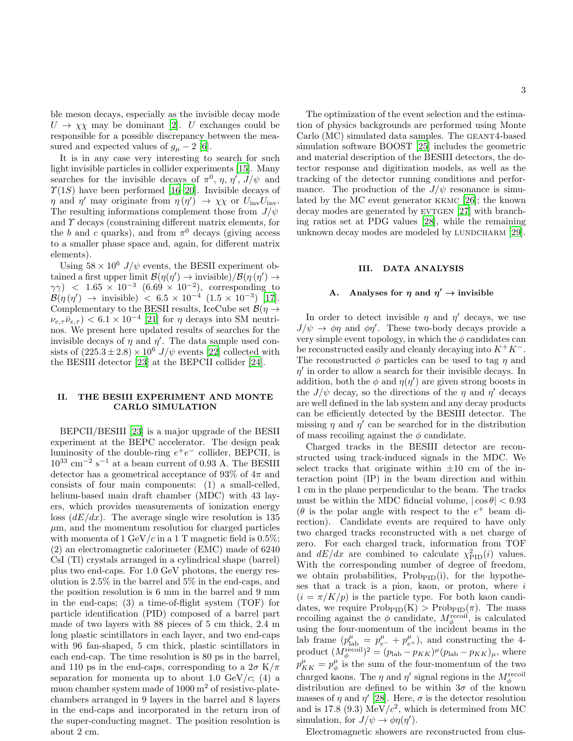ble meson decays, especially as the invisible decay mode  $U \rightarrow \chi \chi$  may be dominant [\[2](#page-7-1)]. U exchanges could be responsible for a possible discrepancy between the measured and expected values of  $g_{\mu} - 2$  [\[6\]](#page-8-3).

It is in any case very interesting to search for such light invisible particles in collider experiments [\[15\]](#page-8-11). Many searches for the invisible decays of  $\pi^0$ ,  $\eta$ ,  $\eta'$ ,  $J/\psi$  and  $\Upsilon(1S)$  have been performed [\[16](#page-8-12)[–20\]](#page-8-13). Invisible decays of  $\eta$  and  $\eta'$  may originate from  $\eta(\eta') \to \chi \chi$  or  $U_{\text{inv}}U_{\text{inv}}$ . The resulting informations complement those from  $J/\psi$ and  $\gamma$  decays (constraining different matrix elements, for the b and c quarks), and from  $\pi^0$  decays (giving access to a smaller phase space and, again, for different matrix elements).

Using  $58 \times 10^6$  J/ $\psi$  events, the BESII experiment obtained a first upper limit  $\mathcal{B}(\eta(\eta')) \to \text{invisible}$  $/\mathcal{B}(\eta(\eta')) \to$  $(\gamma \gamma)$  < 1.65 × 10<sup>-3</sup> (6.69 × 10<sup>-2</sup>), corresponding to  $\mathcal{B}(\eta(\eta')) \to \text{invisible} \times 6.5 \times 10^{-4} \ (1.5 \times 10^{-3}) \ [17].$  $\mathcal{B}(\eta(\eta')) \to \text{invisible} \times 6.5 \times 10^{-4} \ (1.5 \times 10^{-3}) \ [17].$  $\mathcal{B}(\eta(\eta')) \to \text{invisible} \times 6.5 \times 10^{-4} \ (1.5 \times 10^{-3}) \ [17].$ Complementary to the BESII results, IceCube set  $\mathcal{B}(\eta \rightarrow$  $\nu_{e,\tau}\bar{\nu}_{e,\tau}$   $< 6.1 \times 10^{-4}$  [\[21](#page-8-15)] for  $\eta$  decays into SM neutrinos. We present here updated results of searches for the invisible decays of  $\eta$  and  $\eta'$ . The data sample used consists of  $(225.3 \pm 2.8) \times 10^6$  J/ $\psi$  events [\[22](#page-8-16)] collected with the BESIII detector [\[23\]](#page-8-17) at the BEPCII collider [\[24\]](#page-8-18).

### II. THE BESIII EXPERIMENT AND MONTE CARLO SIMULATION

BEPCII/BESIII [\[23](#page-8-17)] is a major upgrade of the BESII experiment at the BEPC accelerator. The design peak luminosity of the double-ring  $e^+e^-$  collider, BEPCII, is  $10^{33}$  cm<sup>-2</sup> s<sup>-1</sup> at a beam current of 0.93 A. The BESIII detector has a geometrical acceptance of 93% of  $4\pi$  and consists of four main components: (1) a small-celled, helium-based main draft chamber (MDC) with 43 layers, which provides measurements of ionization energy loss  $(dE/dx)$ . The average single wire resolution is 135  $\mu$ m, and the momentum resolution for charged particles with momenta of 1 GeV/c in a 1 T magnetic field is 0.5%; (2) an electromagnetic calorimeter (EMC) made of 6240 CsI (Tl) crystals arranged in a cylindrical shape (barrel) plus two end-caps. For 1.0 GeV photons, the energy resolution is 2.5% in the barrel and 5% in the end-caps, and the position resolution is 6 mm in the barrel and 9 mm in the end-caps; (3) a time-of-flight system (TOF) for particle identification (PID) composed of a barrel part made of two layers with 88 pieces of 5 cm thick, 2.4 m long plastic scintillators in each layer, and two end-caps with 96 fan-shaped, 5 cm thick, plastic scintillators in each end-cap. The time resolution is 80 ps in the barrel, and 110 ps in the end-caps, corresponding to a  $2\sigma K/\pi$ separation for momenta up to about 1.0  $GeV/c$ ; (4) a muon chamber system made of  $1000 \text{ m}^2$  of resistive-platechambers arranged in 9 layers in the barrel and 8 layers in the end-caps and incorporated in the return iron of the super-conducting magnet. The position resolution is about 2 cm.

The optimization of the event selection and the estimation of physics backgrounds are performed using Monte Carlo (MC) simulated data samples. The GEANT4-based simulation software BOOST [\[25](#page-8-19)] includes the geometric and material description of the BESIII detectors, the detector response and digitization models, as well as the tracking of the detector running conditions and performance. The production of the  $J/\psi$  resonance is simulated by the MC event generator kkmc [\[26](#page-8-20)]; the known decay modes are generated by EVTGEN  $[27]$  with branching ratios set at PDG values [\[28\]](#page-8-22), while the remaining unknown decay modes are modeled by LUNDCHARM [\[29\]](#page-8-23).

### III. DATA ANALYSIS

# A. Analyses for  $\eta$  and  $\eta' \to$  invisible

In order to detect invisible  $\eta$  and  $\eta'$  decays, we use  $J/\psi \to \phi \eta$  and  $\phi \eta'$ . These two-body decays provide a very simple event topology, in which the  $\phi$  candidates can be reconstructed easily and cleanly decaying into  $K^+K^-$ . The reconstructed  $\phi$  particles can be used to tag  $\eta$  and  $\eta'$  in order to allow a search for their invisible decays. In addition, both the  $\phi$  and  $\eta(\eta')$  are given strong boosts in the  $J/\psi$  decay, so the directions of the  $\eta$  and  $\eta'$  decays are well defined in the lab system and any decay products can be efficiently detected by the BESIII detector. The missing  $\eta$  and  $\eta'$  can be searched for in the distribution of mass recoiling against the  $\phi$  candidate.

Charged tracks in the BESIII detector are reconstructed using track-induced signals in the MDC. We select tracks that originate within  $\pm 10$  cm of the interaction point (IP) in the beam direction and within 1 cm in the plane perpendicular to the beam. The tracks must be within the MDC fiducial volume,  $|\cos \theta| < 0.93$ ( $\theta$  is the polar angle with respect to the  $e^+$  beam direction). Candidate events are required to have only two charged tracks reconstructed with a net charge of zero. For each charged track, information from TOF and  $dE/dx$  are combined to calculate  $\chi^2_{\text{PID}}(i)$  values. With the corresponding number of degree of freedom, we obtain probabilities,  $\text{Prob}_{\text{PID}}(i)$ , for the hypotheses that a track is a pion, kaon, or proton, where  $i$  $(i = \pi/K/p)$  is the particle type. For both kaon candidates, we require  $\text{Prob}_{\text{PID}}(K) > \text{Prob}_{\text{PID}}(\pi)$ . The mass recoiling against the  $\phi$  candidate,  $M_{\phi}^{\text{recoil}}$ , is calculated using the four-momentum of the incident beams in the lab frame  $(p^{\mu}_{\text{lab}} = p^{\mu}_{e^{-}} + p^{\mu}_{e^{+}})$ , and constructing the 4product  $(M_\phi^{\text{recoil}})^2 = (p_{\text{lab}} - p_{KK})^\mu (p_{\text{lab}} - p_{KK})_\mu$ , where  $p_{KK}^{\mu} = p_{\phi}^{\mu}$  is the sum of the four-momentum of the two charged kaons. The  $\eta$  and  $\eta'$  signal regions in the  $M_\phi^\text{recoil}$ distribution are defined to be within  $3\sigma$  of the known masses of  $\eta$  and  $\eta'$  [\[28\]](#page-8-22). Here,  $\sigma$  is the detector resolution and is 17.8 (9.3) MeV/ $c^2$ , which is determined from MC simulation, for  $J/\psi \to \phi \eta(\eta')$ .

Electromagnetic showers are reconstructed from clus-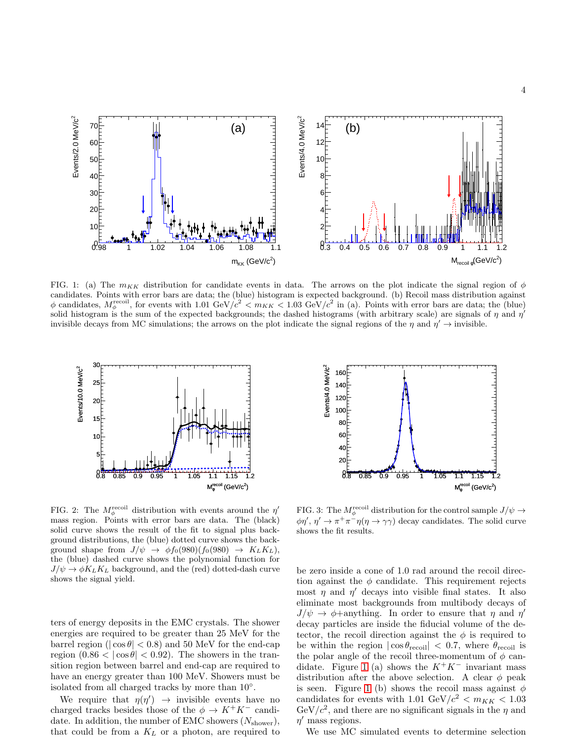

<span id="page-3-0"></span>FIG. 1: (a) The  $m_{KK}$  distribution for candidate events in data. The arrows on the plot indicate the signal region of  $\phi$ candidates. Points with error bars are data; the (blue) histogram is expected background. (b) Recoil mass distribution against  $\phi$  candidates,  $M_{\phi}^{\text{recoil}}$ , for events with 1.01 GeV/ $c^2 < m_{KK} < 1.03$  GeV/ $c^2$  in (a). Points with error bars are data; the (blue) solid histogram is the sum of the expected backgrounds; the dashed histograms (with arbitrary scale) are signals of  $\eta$  and  $\eta'$ invisible decays from MC simulations; the arrows on the plot indicate the signal regions of the  $\eta$  and  $\eta' \to$  invisible.



<span id="page-3-1"></span>FIG. 2: The  $M_{\phi}^{\text{recoil}}$  distribution with events around the  $\eta'$ mass region. Points with error bars are data. The (black) solid curve shows the result of the fit to signal plus background distributions, the (blue) dotted curve shows the background shape from  $J/\psi \rightarrow \phi f_0(980)(f_0(980) \rightarrow K_L K_L),$ the (blue) dashed curve shows the polynomial function for  $J/\psi \rightarrow \phi K_L K_L$  background, and the (red) dotted-dash curve shows the signal yield.

ters of energy deposits in the EMC crystals. The shower energies are required to be greater than 25 MeV for the barrel region ( $|\cos \theta|$  < 0.8) and 50 MeV for the end-cap region  $(0.86 < |\cos \theta| < 0.92)$ . The showers in the transition region between barrel and end-cap are required to have an energy greater than 100 MeV. Showers must be isolated from all charged tracks by more than 10◦ .

We require that  $\eta(\eta') \rightarrow$  invisible events have no charged tracks besides those of the  $\phi \to K^+K^-$  candidate. In addition, the number of EMC showers  $(N_{\text{shower}})$ , that could be from a  $K_L$  or a photon, are required to



<span id="page-3-2"></span>FIG. 3: The  $M_{\phi}^{\text{recoil}}$  distribution for the control sample  $J/\psi \rightarrow$  $\phi \eta', \eta' \to \pi^+ \pi^- \eta(\eta \to \gamma \gamma)$  decay candidates. The solid curve shows the fit results.

be zero inside a cone of 1.0 rad around the recoil direction against the  $\phi$  candidate. This requirement rejects most  $\eta$  and  $\eta'$  decays into visible final states. It also eliminate most backgrounds from multibody decays of  $J/\psi \rightarrow \phi +$ anything. In order to ensure that  $\eta$  and  $\eta'$ decay particles are inside the fiducial volume of the detector, the recoil direction against the  $\phi$  is required to be within the region  $|\cos \theta_{\text{recoil}}| < 0.7$ , where  $\theta_{\text{recoil}}$  is the polar angle of the recoil three-momentum of  $\phi$  can-didate. Figure [1](#page-3-0) (a) shows the  $K^+K^-$  invariant mass distribution after the above selection. A clear  $\phi$  peak is seen. Figure [1](#page-3-0) (b) shows the recoil mass against  $\phi$ candidates for events with 1.01 GeV/ $c^2 < m_{KK} < 1.03$  $GeV/c^2$ , and there are no significant signals in the  $\eta$  and  $\eta'$  mass regions.

We use MC simulated events to determine selection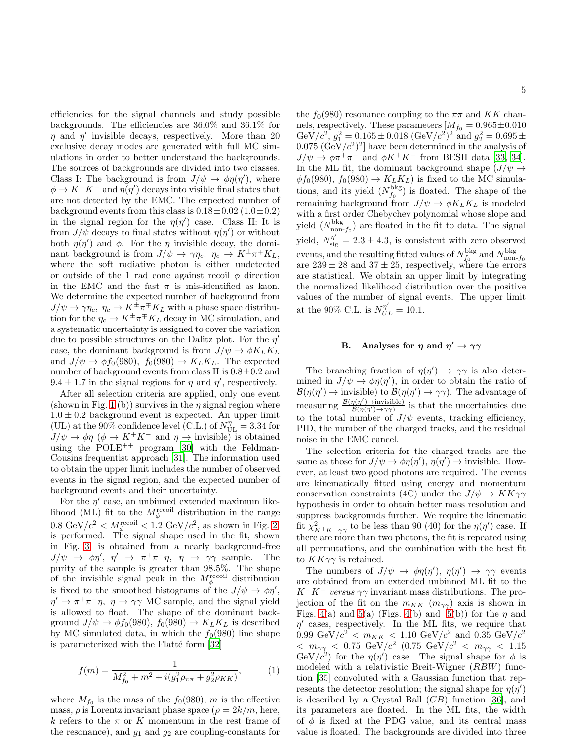efficiencies for the signal channels and study possible backgrounds. The efficiencies are 36.0% and 36.1% for  $\eta$  and  $\eta'$  invisible decays, respectively. More than 20 exclusive decay modes are generated with full MC simulations in order to better understand the backgrounds. The sources of backgrounds are divided into two classes. Class I: The background is from  $J/\psi \to \phi \eta(\eta')$ , where  $\phi \to K^+K^-$  and  $\eta(\eta')$  decays into visible final states that are not detected by the EMC. The expected number of background events from this class is  $0.18 \pm 0.02$  ( $1.0 \pm 0.2$ ) in the signal region for the  $\eta(\eta')$  case. Class II: It is from  $J/\psi$  decays to final states without  $\eta(\eta')$  or without both  $\eta(\eta')$  and  $\phi$ . For the  $\eta$  invisible decay, the dominant background is from  $J/\psi \to \gamma \eta_c, \eta_c \to K^{\pm} \pi^{\mp} K_L$ , where the soft radiative photon is either undetected or outside of the 1 rad cone against recoil  $\phi$  direction in the EMC and the fast  $\pi$  is mis-identified as kaon. We determine the expected number of background from  $J/\psi \rightarrow \gamma \eta_c, \ \eta_c \rightarrow K^{\pm} \pi^{\mp} K_L$  with a phase space distribution for the  $\eta_c \to K^{\pm} \pi^{\mp} K_L$  decay in MC simulation, and a systematic uncertainty is assigned to cover the variation due to possible structures on the Dalitz plot. For the  $\eta'$ case, the dominant background is from  $J/\psi \rightarrow \phi K_L K_L$ and  $J/\psi \rightarrow \phi f_0(980)$ ,  $f_0(980) \rightarrow K_L K_L$ . The expected number of background events from class II is  $0.8\pm0.2$  and  $9.4 \pm 1.7$  in the signal regions for  $\eta$  and  $\eta'$ , respectively.

After all selection criteria are applied, only one event (shown in Fig. [1](#page-3-0) (b)) survives in the  $\eta$  signal region where  $1.0 \pm 0.2$  background event is expected. An upper limit (UL) at the 90% confidence level (C.L.) of  $N_{\text{UL}}^{\eta} = 3.34$  for  $J/\psi \to \phi \eta$  ( $\phi \to K^+K^-$  and  $\eta \to \text{invisible}$ ) is obtained using the  $POLE^{++}$  program [\[30](#page-8-24)] with the Feldman-Cousins frequentist approach [\[31\]](#page-8-25). The information used to obtain the upper limit includes the number of observed events in the signal region, and the expected number of background events and their uncertainty.

For the  $\eta'$  case, an unbinned extended maximum likelihood (ML) fit to the  $M_{\phi}^{\text{recoil}}$  distribution in the range  $0.8 \text{ GeV}/c^2 < M_{\phi}^{\text{recoil}} < 1.2 \text{ GeV}/c^2$ , as shown in Fig. [2,](#page-3-1) is performed. The signal shape used in the fit, shown in Fig. [3,](#page-3-2) is obtained from a nearly background-free  $J/\psi \rightarrow \phi \eta', \eta' \rightarrow \pi^+ \pi^- \eta, \eta \rightarrow \gamma \gamma$  sample. The purity of the sample is greater than 98.5%. The shape of the invisible signal peak in the  $M_\phi^{\text{recoil}}$  distribution is fixed to the smoothed histograms of the  $J/\psi \to \phi \eta'$ ,  $\eta' \to \pi^+\pi^-\eta$ ,  $\eta \to \gamma\gamma$  MC sample, and the signal yield is allowed to float. The shape of the dominant background  $J/\psi \rightarrow \phi f_0(980)$ ,  $f_0(980) \rightarrow K_L K_L$  is described by MC simulated data, in which the  $f_0(980)$  line shape is parameterized with the Flatté form [\[32\]](#page-8-26)

<span id="page-4-0"></span>
$$
f(m) = \frac{1}{M_{f_0}^2 + m^2 + i(g_1^2 \rho_{\pi\pi} + g_2^2 \rho_{KK})},
$$
 (1)

where  $M_{f_0}$  is the mass of the  $f_0(980)$ , m is the effective mass,  $\rho$  is Lorentz invariant phase space  $(\rho = 2k/m$ , here, k refers to the  $\pi$  or K momentum in the rest frame of the resonance), and  $g_1$  and  $g_2$  are coupling-constants for

the  $f_0(980)$  resonance coupling to the  $\pi\pi$  and KK channels, respectively. These parameters  $[M_{f_0} = 0.965 \pm 0.010$ GeV/c<sup>2</sup>,  $g_1^2 = 0.165 \pm 0.018 \text{ (GeV/c^2)^2}$  and  $g_2^2 = 0.695 \pm 0.018 \text{ (GeV/c^2)^2}$  $(0.075 \, (\text{GeV}/c^2)^2]$  have been determined in the analysis of  $J/\psi \to \phi \pi^+ \pi^-$  and  $\phi K^+ K^-$  from BESII data [\[33,](#page-8-27) [34\]](#page-8-28). In the ML fit, the dominant background shape  $(J/\psi \rightarrow$  $\phi f_0(980)$ ,  $f_0(980) \rightarrow K_L K_L$ ) is fixed to the MC simulations, and its yield  $(N_{f_0}^{\text{bkg}})$  is floated. The shape of the remaining background from  $J/\psi \rightarrow \phi K_L K_L$  is modeled with a first order Chebychev polynomial whose slope and yield  $(N_{\text{non-}f_0}^{\text{bkg}})$  are floated in the fit to data. The signal yield,  $N_{\text{sig}}^{\eta'} = 2.3 \pm 4.3$ , is consistent with zero observed events, and the resulting fitted values of  $N_{f_0}^{\text{bkg}}$  and  $N_{\text{non-}f_0}^{\text{bkg}}$  are 239  $\pm$  28 and 37  $\pm$  25, respectively, where the errors are statistical. We obtain an upper limit by integrating the normalized likelihood distribution over the positive values of the number of signal events. The upper limit at the 90% C.L. is  $N_{UL}^{\eta'} = 10.1$ .

# B. Analyses for  $\eta$  and  $\eta' \to \gamma\gamma$

The branching fraction of  $\eta(\eta') \to \gamma \gamma$  is also determined in  $J/\psi \to \phi \eta(\eta')$ , in order to obtain the ratio of  $\mathcal{B}(\eta(\eta')) \to \text{invisible}$  to  $\mathcal{B}(\eta(\eta')) \to \gamma\gamma$ . The advantage of measuring  $\frac{\mathcal{B}(\eta(\eta')\to \text{invisible})}{\mathcal{B}(\eta(\eta')\to \gamma\gamma)}$  is that the uncertainties due to the total number of  $J/\psi$  events, tracking efficiency, PID, the number of the charged tracks, and the residual noise in the EMC cancel.

The selection criteria for the charged tracks are the same as those for  $J/\psi \to \phi \eta(\eta')$ ,  $\eta(\eta') \to \text{invisible}$ . However, at least two good photons are required. The events are kinematically fitted using energy and momentum conservation constraints (4C) under the  $J/\psi \to K K \gamma \gamma$ hypothesis in order to obtain better mass resolution and suppress backgrounds further. We require the kinematic fit  $\chi^2_{K^+K^-\gamma\gamma}$  to be less than 90 (40) for the  $\eta(\eta')$  case. If there are more than two photons, the fit is repeated using all permutations, and the combination with the best fit to  $KK\gamma\gamma$  is retained.

The numbers of  $J/\psi \to \phi \eta(\eta')$ ,  $\eta(\eta') \to \gamma \gamma$  events are obtained from an extended unbinned ML fit to the  $K^+K^-$  versus  $\gamma\gamma$  invariant mass distributions. The projection of the fit on the  $m_{KK}$   $(m_{\gamma\gamma})$  axis is shown in Figs. [4\(](#page-5-0)a) and [5\(](#page-5-1)a) (Figs. 4(b) and 5(b)) for the  $\eta$  and  $\eta'$  cases, respectively. In the ML fits, we require that  $0.99 \text{ GeV}/c^2 < m_{KK} < 1.10 \text{ GeV}/c^2 \text{ and } 0.35 \text{ GeV}/c^2$  $< m_{\gamma\gamma} < 0.75 \text{ GeV}/c^2 \text{ (}0.75 \text{ GeV}/c^2 \text{ < } m_{\gamma\gamma} < 1.15$ GeV/ $c^2$ ) for the  $\eta(\eta')$  case. The signal shape for  $\phi$  is modeled with a relativistic Breit-Wigner (RBW) function [\[35\]](#page-8-29) convoluted with a Gaussian function that represents the detector resolution; the signal shape for  $\eta(\eta')$ is described by a Crystal Ball  $(CB)$  function [\[36\]](#page-8-30), and its parameters are floated. In the ML fits, the width of  $\phi$  is fixed at the PDG value, and its central mass value is floated. The backgrounds are divided into three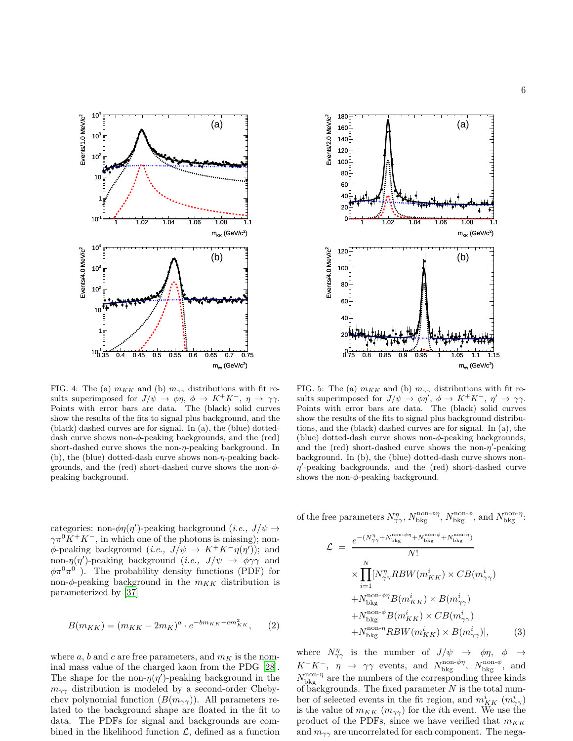



<span id="page-5-0"></span>FIG. 4: The (a)  $m_{KK}$  and (b)  $m_{\gamma\gamma}$  distributions with fit results superimposed for  $J/\psi \to \phi \eta$ ,  $\phi \to K^+ K^-$ ,  $\eta \to \gamma \gamma$ . Points with error bars are data. The (black) solid curves show the results of the fits to signal plus background, and the (black) dashed curves are for signal. In (a), the (blue) dotteddash curve shows non- $\phi$ -peaking backgrounds, and the (red) short-dashed curve shows the non-η-peaking background. In (b), the (blue) dotted-dash curve shows non- $\eta$ -peaking backgrounds, and the (red) short-dashed curve shows the non- $\phi$ peaking background.

categories: non- $\phi \eta(\eta')$ -peaking background  $(i.e., J/\psi \rightarrow$  $\gamma \pi^0 K^+ K^-$ , in which one of the photons is missing); non- $\phi$ -peaking background  $(i.e., J/\psi \rightarrow K^+K^-\eta(\eta'))$ ; and non- $\eta(\eta')$ -peaking background (*i.e.*,  $J/\psi \rightarrow \phi \gamma \gamma$  and  $\phi \pi^0 \pi^0$ ). The probability density functions (PDF) for non- $\phi$ -peaking background in the  $m_{KK}$  distribution is parameterized by [\[37](#page-8-31)]

$$
B(m_{KK}) = (m_{KK} - 2m_K)^a \cdot e^{-bm_{KK} - cm_{KK}^2}, \qquad (2)
$$

where a, b and c are free parameters, and  $m<sub>K</sub>$  is the nominal mass value of the charged kaon from the PDG [\[28\]](#page-8-22). The shape for the non- $\eta(\eta')$ -peaking background in the  $m_{\gamma\gamma}$  distribution is modeled by a second-order Chebychev polynomial function  $(B(m_{\gamma\gamma}))$ . All parameters related to the background shape are floated in the fit to data. The PDFs for signal and backgrounds are combined in the likelihood function  $\mathcal{L}$ , defined as a function

<span id="page-5-1"></span>FIG. 5: The (a)  $m_{KK}$  and (b)  $m_{\gamma\gamma}$  distributions with fit results superimposed for  $J/\psi \to \phi \eta'$ ,  $\phi \to K^+K^-$ ,  $\eta' \to \gamma \gamma$ . Points with error bars are data. The (black) solid curves show the results of the fits to signal plus background distributions, and the (black) dashed curves are for signal. In (a), the (blue) dotted-dash curve shows non- $\phi$ -peaking backgrounds, and the (red) short-dashed curve shows the non- $\eta'$ -peaking background. In (b), the (blue) dotted-dash curve shows non- $\eta'$ -peaking backgrounds, and the (red) short-dashed curve shows the non- $\phi$ -peaking background.

of the free parameters  $N_{\gamma\gamma}^{\eta}$ ,  $N_{\text{bkg}}^{\text{non-}\phi\eta}$ ,  $N_{\text{bkg}}^{\text{non-}\phi}$ , and  $N_{\text{bkg}}^{\text{non-}\eta}$ :

<span id="page-5-2"></span>
$$
\mathcal{L} = \frac{e^{-(N_{\gamma\gamma}^{\eta} + N_{\text{bkg}}^{\text{non-}\phi} + N_{\text{bkg}}^{\text{non-}\phi} + N_{\text{bkg}}^{\text{non-}\eta})}}{N!} \times \prod_{i=1}^{N} [N_{\gamma\gamma}^{\eta} RBW(m_{KK}^{i}) \times CB(m_{\gamma\gamma}^{i}) + N_{\text{bkg}}^{\text{non-}\phi\eta} B(m_{KK}^{i}) \times B(m_{\gamma\gamma}^{i}) + N_{\text{bkg}}^{\text{non-}\phi} B(m_{KK}^{i}) \times CB(m_{\gamma\gamma}^{i}) + N_{\text{bkg}}^{\text{non-}\eta} RBW(m_{KK}^{i}) \times B(m_{\gamma\gamma}^{i})], \quad (3)
$$

where  $N^{\eta}_{\gamma\gamma}$  is the number of  $J/\psi \rightarrow \phi \eta$ ,  $\phi \rightarrow$  $K^+K^-$ ,  $\eta \rightarrow \gamma\gamma$  events, and  $N_{\text{bkg}}^{\text{non-}\phi\eta}$ ,  $N_{\text{bkg}}^{\text{non-}\phi}$ , and  $N_{\text{bkg}}^{\text{non-}\eta}$  are the numbers of the corresponding three kinds of backgrounds. The fixed parameter  $N$  is the total number of selected events in the fit region, and  $m_{KK}^i$   $(m_{\gamma\gamma}^i)$ is the value of  $m_{KK}$  ( $m_{\gamma\gamma}$ ) for the *i*th event. We use the product of the PDFs, since we have verified that  $m_{KK}$ and  $m_{\gamma\gamma}$  are uncorrelated for each component. The nega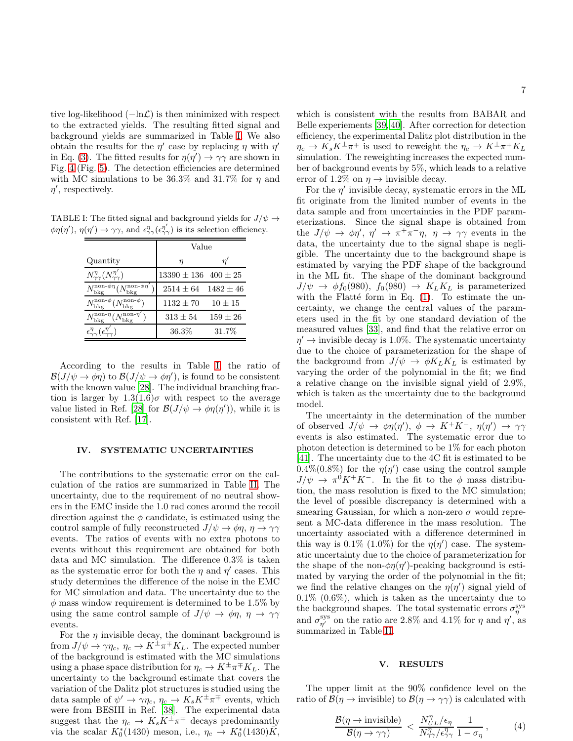tive log-likelihood  $(-\ln\mathcal{L})$  is then minimized with respect to the extracted yields. The resulting fitted signal and background yields are summarized in Table [I.](#page-6-0) We also obtain the results for the  $\eta'$  case by replacing  $\eta$  with  $\eta'$ in Eq. [\(3\)](#page-5-2). The fitted results for  $\eta(\eta') \to \gamma\gamma$  are shown in Fig. [4](#page-5-0) (Fig. [5\)](#page-5-1). The detection efficiencies are determined with MC simulations to be 36.3% and 31.7% for  $\eta$  and  $\eta'$ , respectively.

TABLE I: The fitted signal and background yields for  $J/\psi\to$  $\phi\eta(\eta')$ ,  $\eta(\eta') \to \gamma\gamma$ , and  $\epsilon_{\gamma\gamma}^{\eta}(\epsilon_{\gamma\gamma}^{\eta'})$  is its selection efficiency.

<span id="page-6-0"></span>

|                                                                   | Value                        |              |  |
|-------------------------------------------------------------------|------------------------------|--------------|--|
| Quantity                                                          | η                            | η            |  |
| $N_{\gamma\gamma}^{\eta}(N_{\gamma\gamma}^{\eta'})$               | $13390 \pm 136$ $400 \pm 25$ |              |  |
| $N_{\rm bkg}^{\rm non-\phi\eta} (N_{\rm bkg}^{\rm non-\phi\eta})$ | $2514 \pm 64$ $1482 \pm 46$  |              |  |
| $N_{\rm bkg}^{\rm non-}\phi (N_{\rm bkg}^{\rm non-}\phi)$         | $1132 \pm 70$                | $10 \pm 15$  |  |
| $N_{\rm bkg}^{\rm non-\eta} (N_{\rm bkg}^{\rm non-\eta})$         | $313 \pm 54$                 | $159 \pm 26$ |  |
| $\epsilon^{\eta}_{\gamma\gamma}(\epsilon^{\eta}_{\gamma}$         | 36.3%                        | 31.7%        |  |

According to the results in Table [I,](#page-6-0) the ratio of  $\mathcal{B}(J/\psi \to \phi \eta)$  to  $\mathcal{B}(J/\psi \to \phi \eta')$ , is found to be consistent with the known value [\[28\]](#page-8-22). The individual branching fraction is larger by  $1.3(1.6)\sigma$  with respect to the average value listed in Ref. [\[28\]](#page-8-22) for  $\mathcal{B}(J/\psi \to \phi \eta(\eta'))$ , while it is consistent with Ref. [\[17\]](#page-8-14).

### IV. SYSTEMATIC UNCERTAINTIES

The contributions to the systematic error on the calculation of the ratios are summarized in Table [II.](#page-7-2) The uncertainty, due to the requirement of no neutral showers in the EMC inside the 1.0 rad cones around the recoil direction against the  $\phi$  candidate, is estimated using the control sample of fully reconstructed  $J/\psi \rightarrow \phi \eta$ ,  $\eta \rightarrow \gamma \gamma$ events. The ratios of events with no extra photons to events without this requirement are obtained for both data and MC simulation. The difference 0.3% is taken as the systematic error for both the  $\eta$  and  $\eta'$  cases. This study determines the difference of the noise in the EMC for MC simulation and data. The uncertainty due to the  $\phi$  mass window requirement is determined to be 1.5% by using the same control sample of  $J/\psi \rightarrow \phi \eta$ ,  $\eta \rightarrow \gamma \gamma$ events.

For the  $\eta$  invisible decay, the dominant background is from  $J/\psi \to \gamma \eta_c$ ,  $\eta_c \to K^{\pm} \pi^{\mp} K_L$ . The expected number of the background is estimated with the MC simulations using a phase space distribution for  $\eta_c \to K^{\pm} \pi^{\mp} K_L$ . The uncertainty to the background estimate that covers the variation of the Dalitz plot structures is studied using the data sample of  $\psi' \to \gamma \eta_c$ ,  $\eta_c \to K_s K^{\pm} \pi^{\mp}$  events, which were from BESIII in Ref. [\[38\]](#page-8-32). The experimental data suggest that the  $\eta_c \to K_s \overline{K^{\pm}} \pi^{\mp}$  decays predominantly via the scalar  $K_0^*(1430)$  meson, i.e.,  $\eta_c \to K_0^*(1430)\overline{K}$ ,

which is consistent with the results from BABAR and Belle experiements [\[39,](#page-8-33) [40\]](#page-8-34). After correction for detection efficiency, the experimental Dalitz plot distribution in the  $\eta_c \to K_s K^{\pm} \pi^{\mp}$  is used to reweight the  $\eta_c \to K^{\pm} \pi^{\mp} K_L$ simulation. The reweighting increases the expected number of background events by 5%, which leads to a relative error of 1.2% on  $\eta \rightarrow$  invisible decay.

For the  $\eta'$  invisible decay, systematic errors in the ML fit originate from the limited number of events in the data sample and from uncertainties in the PDF parameterizations. Since the signal shape is obtained from the  $J/\psi \to \phi \eta', \eta' \to \pi^+ \pi^- \eta, \eta \to \gamma \gamma$  events in the data, the uncertainty due to the signal shape is negligible. The uncertainty due to the background shape is estimated by varying the PDF shape of the background in the ML fit. The shape of the dominant background  $J/\psi \rightarrow \phi f_0(980), f_0(980) \rightarrow K_L K_L$  is parameterized with the Flatté form in Eq.  $(1)$ . To estimate the uncertainty, we change the central values of the parameters used in the fit by one standard deviation of the measured values [\[33](#page-8-27)], and find that the relative error on  $\eta' \rightarrow$  invisible decay is 1.0%. The systematic uncertainty due to the choice of parameterization for the shape of the background from  $J/\psi \rightarrow \phi K_L K_L$  is estimated by varying the order of the polynomial in the fit; we find a relative change on the invisible signal yield of 2.9%, which is taken as the uncertainty due to the background model.

The uncertainty in the determination of the number of observed  $J/\psi \to \phi \eta(\eta')$ ,  $\phi \to K^+K^-$ ,  $\eta(\eta') \to \gamma \gamma$ events is also estimated. The systematic error due to photon detection is determined to be 1% for each photon [\[41\]](#page-8-35). The uncertainty due to the 4C fit is estimated to be  $0.4\%(0.8\%)$  for the  $\eta(\eta')$  case using the control sample  $J/\psi \to \pi^0 K^+ K^-$ . In the fit to the  $\phi$  mass distribution, the mass resolution is fixed to the MC simulation; the level of possible discrepancy is determined with a smearing Gaussian, for which a non-zero  $\sigma$  would represent a MC-data difference in the mass resolution. The uncertainty associated with a difference determined in this way is 0.1% (1.0%) for the  $\eta(\eta')$  case. The systematic uncertainty due to the choice of parameterization for the shape of the non- $\phi\eta(\eta')$ -peaking background is estimated by varying the order of the polynomial in the fit; we find the relative changes on the  $\eta(\eta')$  signal yield of  $0.1\%$   $(0.6\%)$ , which is taken as the uncertainty due to the background shapes. The total systematic errors  $\sigma_{\eta}^{\rm sys}$ and  $\sigma_{\eta'}^{\rm sys}$  on the ratio are 2.8% and 4.1% for  $\eta$  and  $\eta'$ , as summarized in Table [II.](#page-7-2)

#### V. RESULTS

The upper limit at the 90% confidence level on the ratio of  $\mathcal{B}(\eta \to \text{invisible})$  to  $\mathcal{B}(\eta \to \gamma\gamma)$  is calculated with

$$
\frac{\mathcal{B}(\eta \to \text{invisible})}{\mathcal{B}(\eta \to \gamma\gamma)} \; < \; \frac{N_{UL}^{\eta}/\epsilon_{\eta}}{N_{\gamma\gamma}^{\eta}/\epsilon_{\gamma\gamma}^{\eta}} \frac{1}{1 - \sigma_{\eta}} \,, \tag{4}
$$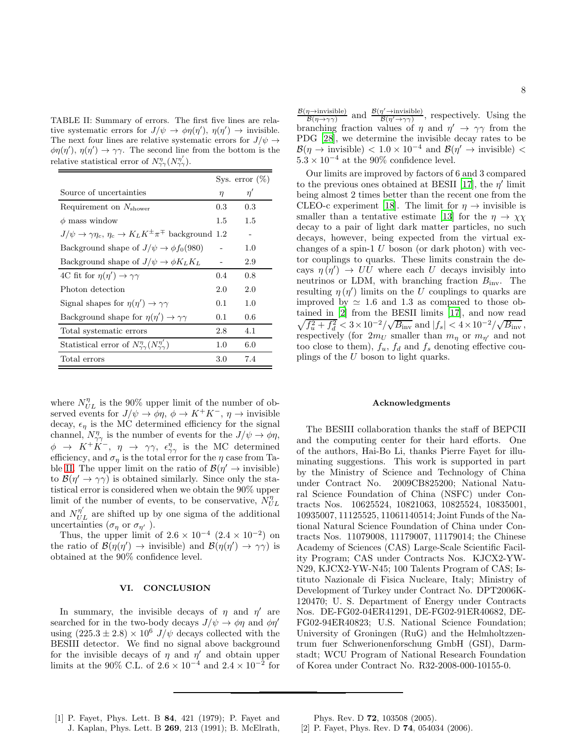<span id="page-7-2"></span>TABLE II: Summary of errors. The first five lines are relative systematic errors for  $J/\psi \to \phi \eta(\eta')$ ,  $\eta(\eta') \to$  invisible. The next four lines are relative systematic errors for  $J/\psi \rightarrow$  $\phi\eta(\eta')$ ,  $\eta(\eta') \to \gamma\gamma$ . The second line from the bottom is the relative statistical error of  $N_{\gamma\gamma}^{\eta}(N_{\gamma\gamma}^{\eta'})$ .

|                                                                                             |         | Sys. error $(\%)$ |
|---------------------------------------------------------------------------------------------|---------|-------------------|
| Source of uncertainties                                                                     | $\eta$  | $\eta'$           |
| Requirement on $N_{\text{shower}}$                                                          | $0.3\,$ | 0.3               |
| $\phi$ mass window                                                                          | $1.5\,$ | $1.5\,$           |
| $J/\psi \rightarrow \gamma \eta_c, \eta_c \rightarrow K_L K^{\pm} \pi^{\mp}$ background 1.2 |         |                   |
| Background shape of $J/\psi \rightarrow \phi f_0(980)$                                      |         | 1.0               |
| Background shape of $J/\psi \rightarrow \phi K_L K_L$                                       |         | 2.9               |
| 4C fit for $\eta(\eta') \rightarrow \gamma\gamma$                                           | 0.4     | 0.8               |
| Photon detection                                                                            | 2.0     | 2.0               |
| Signal shapes for $\eta(\eta') \to \gamma\gamma$                                            | 0.1     | 1.0               |
| Background shape for $\eta(\eta') \rightarrow \gamma\gamma$                                 | 0.1     | 0.6               |
| Total systematic errors                                                                     | 2.8     | 4.1               |
| Statistical error of $N^{\eta}_{\gamma\gamma}(N^{\eta'}_{\gamma\gamma})$                    | 1.0     | 6.0               |
| Total errors                                                                                | 3.0     | 7.4               |

where  $N_{UL}^{\eta}$  is the 90% upper limit of the number of observed events for  $J/\psi \to \phi \eta$ ,  $\phi \to K^+K^-$ ,  $\eta \to$  invisible decay,  $\epsilon_n$  is the MC determined efficiency for the signal channel,  $N^{\eta}_{\gamma\gamma}$  is the number of events for the  $J/\psi \to \phi \eta$ ,  $\phi \rightarrow K^+K^-$ ,  $\eta \rightarrow \gamma\gamma$ ,  $\epsilon_{\gamma\gamma}^{\eta}$  is the MC determined efficiency, and  $\sigma_n$  is the total error for the  $\eta$  case from Ta-ble [II.](#page-7-2) The upper limit on the ratio of  $\mathcal{B}(\eta' \to \text{invisible})$ to  $\mathcal{B}(\eta' \to \gamma\gamma)$  is obtained similarly. Since only the statistical error is considered when we obtain the 90% upper limit of the number of events, to be conservative,  $\overline{N}_{UL}^{\eta}$ and  $N_{UL}^{\eta'}$  are shifted up by one sigma of the additional uncertainties  $(\sigma_{\eta}$  or  $\sigma_{\eta'}$ ).

Thus, the upper limit of  $2.6 \times 10^{-4}$   $(2.4 \times 10^{-2})$  on the ratio of  $\mathcal{B}(\eta(\eta')) \to \text{invisible}$  and  $\mathcal{B}(\eta(\eta')) \to \gamma\gamma$  is obtained at the 90% confidence level.

### VI. CONCLUSION

In summary, the invisible decays of  $\eta$  and  $\eta'$  are searched for in the two-body decays  $J/\psi \rightarrow \phi \eta$  and  $\phi \eta'$ using  $(225.3 \pm 2.8) \times 10^6$  J/ $\psi$  decays collected with the BESIII detector. We find no signal above background for the invisible decays of  $\eta$  and  $\eta'$  and obtain upper limits at the 90% C.L. of  $2.6 \times 10^{-4}$  and  $2.4 \times 10^{-2}$  for

 $\frac{\mathcal{B}(\eta \to \text{invisible})}{\mathcal{B}(\eta \to \infty)}$  and  $\frac{\mathcal{B}(\eta' \to \text{invisible})}{\mathcal{B}(\eta' \to \infty)}$ , respectively. Using the  $\mathcal{B}(\eta \rightarrow \gamma \gamma)$  $\overline{\mathcal{B}(\eta'\rightarrow\gamma\gamma)}$ branching fraction values of  $\eta$  and  $\eta' \to \gamma \gamma$  from the PDG [\[28\]](#page-8-22), we determine the invisible decay rates to be  $\mathcal{B}(\eta \to \text{invisible}) < 1.0 \times 10^{-4}$  and  $\mathcal{B}(\eta' \to \text{invisible}) <$  $5.3\times10^{-4}$  at the 90% confidence level.

Our limits are improved by factors of 6 and 3 compared to the previous ones obtained at BESII [\[17](#page-8-14)], the  $\eta'$  limit being almost 2 times better than the recent one from the CLEO-c experiment [\[18\]](#page-8-36). The limit for  $\eta \to$  invisible is smaller than a tentative estimate [\[13](#page-8-9)] for the  $\eta \to \chi \chi$ decay to a pair of light dark matter particles, no such decays, however, being expected from the virtual exchanges of a spin-1  $U$  boson (or dark photon) with vector couplings to quarks. These limits constrain the decays  $\eta(\eta') \to UU$  where each U decays invisibly into neutrinos or LDM, with branching fraction  $B_{\text{inv}}$ . The resulting  $\eta(\eta')$  limits on the U couplings to quarks are improved by  $\simeq$  1.6 and 1.3 as compared to those obtained in [\[2\]](#page-7-1) from the BESII limits [\[17](#page-8-14)], and now read  $\sqrt{f_u^2 + f_d^2} < 3 \times 10^{-2} / \sqrt{B_{\text{inv}}}\$  and  $|f_s| < 4 \times 10^{-2} / \sqrt{B_{\text{inv}}}\$ , respectively (for  $2m_U$  smaller than  $m_n$  or  $m_{n'}$  and not too close to them),  $f_u$ ,  $f_d$  and  $f_s$  denoting effective couplings of the U boson to light quarks.

#### Acknowledgments

The BESIII collaboration thanks the staff of BEPCII and the computing center for their hard efforts. One of the authors, Hai-Bo Li, thanks Pierre Fayet for illuminating suggestions. This work is supported in part by the Ministry of Science and Technology of China under Contract No. 2009CB825200; National Natural Science Foundation of China (NSFC) under Contracts Nos. 10625524, 10821063, 10825524, 10835001, 10935007, 11125525, 11061140514; Joint Funds of the National Natural Science Foundation of China under Contracts Nos. 11079008, 11179007, 11179014; the Chinese Academy of Sciences (CAS) Large-Scale Scientific Facility Program; CAS under Contracts Nos. KJCX2-YW-N29, KJCX2-YW-N45; 100 Talents Program of CAS; Istituto Nazionale di Fisica Nucleare, Italy; Ministry of Development of Turkey under Contract No. DPT2006K-120470; U. S. Department of Energy under Contracts Nos. DE-FG02-04ER41291, DE-FG02-91ER40682, DE-FG02-94ER40823; U.S. National Science Foundation; University of Groningen (RuG) and the Helmholtzzentrum fuer Schwerionenforschung GmbH (GSI), Darmstadt; WCU Program of National Research Foundation of Korea under Contract No. R32-2008-000-10155-0.

<span id="page-7-0"></span>[1] P. Fayet, Phys. Lett. B 84, 421 (1979); P. Fayet and J. Kaplan, Phys. Lett. B 269, 213 (1991); B. McElrath,

Phys. Rev. D 72, 103508 (2005).

<span id="page-7-1"></span>[2] P. Fayet, Phys. Rev. D 74, 054034 (2006).